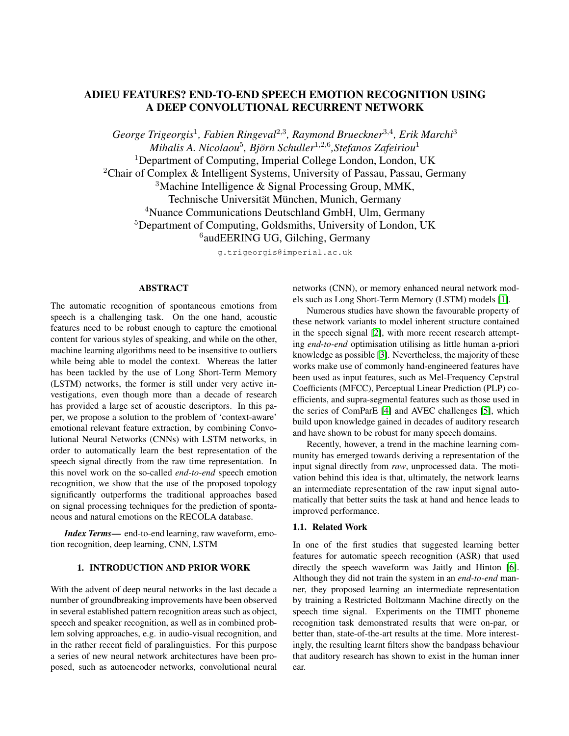# ADIEU FEATURES? END-TO-END SPEECH EMOTION RECOGNITION USING A DEEP CONVOLUTIONAL RECURRENT NETWORK

*George Trigeorgis*<sup>1</sup> *, Fabien Ringeval*<sup>2</sup>,<sup>3</sup> *, Raymond Brueckner*<sup>3</sup>,<sup>4</sup> *, Erik Marchi*<sup>3</sup> *Mihalis A. Nicolaou*<sup>5</sup> *, Björn Schuller*<sup>1</sup>,2,<sup>6</sup> *,Stefanos Zafeiriou*<sup>1</sup> <sup>1</sup>Department of Computing, Imperial College London, London, UK <sup>2</sup>Chair of Complex & Intelligent Systems, University of Passau, Passau, Germany <sup>3</sup>Machine Intelligence & Signal Processing Group, MMK, Technische Universität München, Munich, Germany <sup>4</sup>Nuance Communications Deutschland GmbH, Ulm, Germany <sup>5</sup>Department of Computing, Goldsmiths, University of London, UK <sup>6</sup>audEERING UG, Gilching, Germany

g.trigeorgis@imperial.ac.uk

## ABSTRACT

The automatic recognition of spontaneous emotions from speech is a challenging task. On the one hand, acoustic features need to be robust enough to capture the emotional content for various styles of speaking, and while on the other, machine learning algorithms need to be insensitive to outliers while being able to model the context. Whereas the latter has been tackled by the use of Long Short-Term Memory (LSTM) networks, the former is still under very active investigations, even though more than a decade of research has provided a large set of acoustic descriptors. In this paper, we propose a solution to the problem of 'context-aware' emotional relevant feature extraction, by combining Convolutional Neural Networks (CNNs) with LSTM networks, in order to automatically learn the best representation of the speech signal directly from the raw time representation. In this novel work on the so-called *end-to-end* speech emotion recognition, we show that the use of the proposed topology significantly outperforms the traditional approaches based on signal processing techniques for the prediction of spontaneous and natural emotions on the RECOLA database.

*Index Terms*— end-to-end learning, raw waveform, emotion recognition, deep learning, CNN, LSTM

# 1. INTRODUCTION AND PRIOR WORK

With the advent of deep neural networks in the last decade a number of groundbreaking improvements have been observed in several established pattern recognition areas such as object, speech and speaker recognition, as well as in combined problem solving approaches, e.g. in audio-visual recognition, and in the rather recent field of paralinguistics. For this purpose a series of new neural network architectures have been proposed, such as autoencoder networks, convolutional neural networks (CNN), or memory enhanced neural network models such as Long Short-Term Memory (LSTM) models [\[1\]](#page-4-0).

Numerous studies have shown the favourable property of these network variants to model inherent structure contained in the speech signal [\[2\]](#page-4-1), with more recent research attempting *end-to-end* optimisation utilising as little human a-priori knowledge as possible [\[3\]](#page-4-2). Nevertheless, the majority of these works make use of commonly hand-engineered features have been used as input features, such as Mel-Frequency Cepstral Coefficients (MFCC), Perceptual Linear Prediction (PLP) coefficients, and supra-segmental features such as those used in the series of ComParE [\[4\]](#page-4-3) and AVEC challenges [\[5\]](#page-4-4), which build upon knowledge gained in decades of auditory research and have shown to be robust for many speech domains.

Recently, however, a trend in the machine learning community has emerged towards deriving a representation of the input signal directly from *raw*, unprocessed data. The motivation behind this idea is that, ultimately, the network learns an intermediate representation of the raw input signal automatically that better suits the task at hand and hence leads to improved performance.

### 1.1. Related Work

In one of the first studies that suggested learning better features for automatic speech recognition (ASR) that used directly the speech waveform was Jaitly and Hinton [\[6\]](#page-4-5). Although they did not train the system in an *end-to-end* manner, they proposed learning an intermediate representation by training a Restricted Boltzmann Machine directly on the speech time signal. Experiments on the TIMIT phoneme recognition task demonstrated results that were on-par, or better than, state-of-the-art results at the time. More interestingly, the resulting learnt filters show the bandpass behaviour that auditory research has shown to exist in the human inner ear.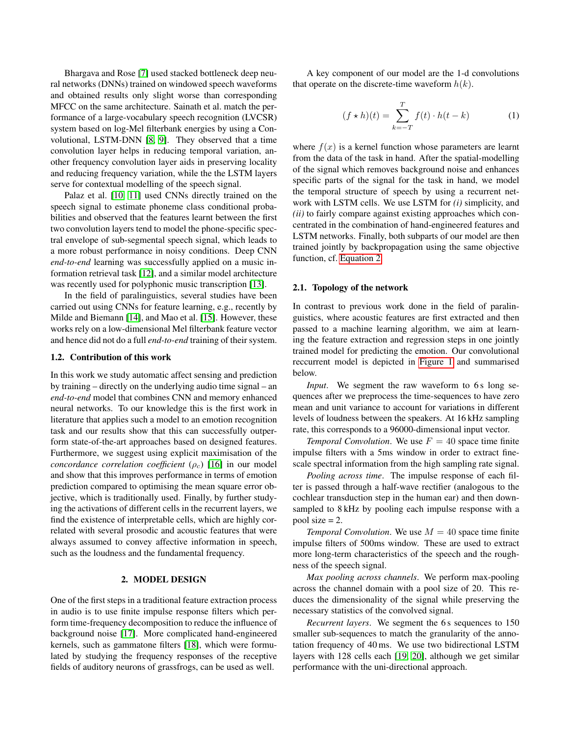Bhargava and Rose [\[7\]](#page-4-6) used stacked bottleneck deep neural networks (DNNs) trained on windowed speech waveforms and obtained results only slight worse than corresponding MFCC on the same architecture. Sainath et al. match the performance of a large-vocabulary speech recognition (LVCSR) system based on log-Mel filterbank energies by using a Convolutional, LSTM-DNN [\[8,](#page-4-7) [9\]](#page-4-8). They observed that a time convolution layer helps in reducing temporal variation, another frequency convolution layer aids in preserving locality and reducing frequency variation, while the the LSTM layers serve for contextual modelling of the speech signal.

Palaz et al. [\[10,](#page-4-9) [11\]](#page-4-10) used CNNs directly trained on the speech signal to estimate phoneme class conditional probabilities and observed that the features learnt between the first two convolution layers tend to model the phone-specific spectral envelope of sub-segmental speech signal, which leads to a more robust performance in noisy conditions. Deep CNN *end-to-end* learning was successfully applied on a music information retrieval task [\[12\]](#page-4-11), and a similar model architecture was recently used for polyphonic music transcription [\[13\]](#page-4-12).

In the field of paralinguistics, several studies have been carried out using CNNs for feature learning, e.g., recently by Milde and Biemann [\[14\]](#page-4-13), and Mao et al. [\[15\]](#page-4-14). However, these works rely on a low-dimensional Mel filterbank feature vector and hence did not do a full *end-to-end* training of their system.

### 1.2. Contribution of this work

In this work we study automatic affect sensing and prediction by training – directly on the underlying audio time signal – an *end-to-end* model that combines CNN and memory enhanced neural networks. To our knowledge this is the first work in literature that applies such a model to an emotion recognition task and our results show that this can successfully outperform state-of-the-art approaches based on designed features. Furthermore, we suggest using explicit maximisation of the *concordance correlation coefficient* ( $ρ<sub>c</sub>$ ) [\[16\]](#page-4-15) in our model and show that this improves performance in terms of emotion prediction compared to optimising the mean square error objective, which is traditionally used. Finally, by further studying the activations of different cells in the recurrent layers, we find the existence of interpretable cells, which are highly correlated with several prosodic and acoustic features that were always assumed to convey affective information in speech, such as the loudness and the fundamental frequency.

### 2. MODEL DESIGN

One of the first steps in a traditional feature extraction process in audio is to use finite impulse response filters which perform time-frequency decomposition to reduce the influence of background noise [\[17\]](#page-4-16). More complicated hand-engineered kernels, such as gammatone filters [\[18\]](#page-4-17), which were formulated by studying the frequency responses of the receptive fields of auditory neurons of grassfrogs, can be used as well.

A key component of our model are the 1-d convolutions that operate on the discrete-time waveform  $h(k)$ .

$$
(f \star h)(t) = \sum_{k=-T}^{T} f(t) \cdot h(t-k)
$$
 (1)

where  $f(x)$  is a kernel function whose parameters are learnt from the data of the task in hand. After the spatial-modelling of the signal which removes background noise and enhances specific parts of the signal for the task in hand, we model the temporal structure of speech by using a recurrent network with LSTM cells. We use LSTM for *(i)* simplicity, and *(ii)* to fairly compare against existing approaches which concentrated in the combination of hand-engineered features and LSTM networks. Finally, both subparts of our model are then trained jointly by backpropagation using the same objective function, cf. [Equation 2.](#page-2-0)

#### 2.1. Topology of the network

In contrast to previous work done in the field of paralinguistics, where acoustic features are first extracted and then passed to a machine learning algorithm, we aim at learning the feature extraction and regression steps in one jointly trained model for predicting the emotion. Our convolutional reccurrent model is depicted in [Figure 1](#page-2-1) and summarised below.

*Input*. We segment the raw waveform to 6s long sequences after we preprocess the time-sequences to have zero mean and unit variance to account for variations in different levels of loudness between the speakers. At 16 kHz sampling rate, this corresponds to a 96000-dimensional input vector.

*Temporal Convolution.* We use  $F = 40$  space time finite impulse filters with a 5ms window in order to extract finescale spectral information from the high sampling rate signal.

*Pooling across time*. The impulse response of each filter is passed through a half-wave rectifier (analogous to the cochlear transduction step in the human ear) and then downsampled to 8 kHz by pooling each impulse response with a pool size  $= 2$ .

*Temporal Convolution.* We use  $M = 40$  space time finite impulse filters of 500ms window. These are used to extract more long-term characteristics of the speech and the roughness of the speech signal.

*Max pooling across channels*. We perform max-pooling across the channel domain with a pool size of 20. This reduces the dimensionality of the signal while preserving the necessary statistics of the convolved signal.

*Recurrent layers*. We segment the 6 s sequences to 150 smaller sub-sequences to match the granularity of the annotation frequency of 40 ms. We use two bidirectional LSTM layers with 128 cells each [\[19,](#page-4-18) [20\]](#page-4-19), although we get similar performance with the uni-directional approach.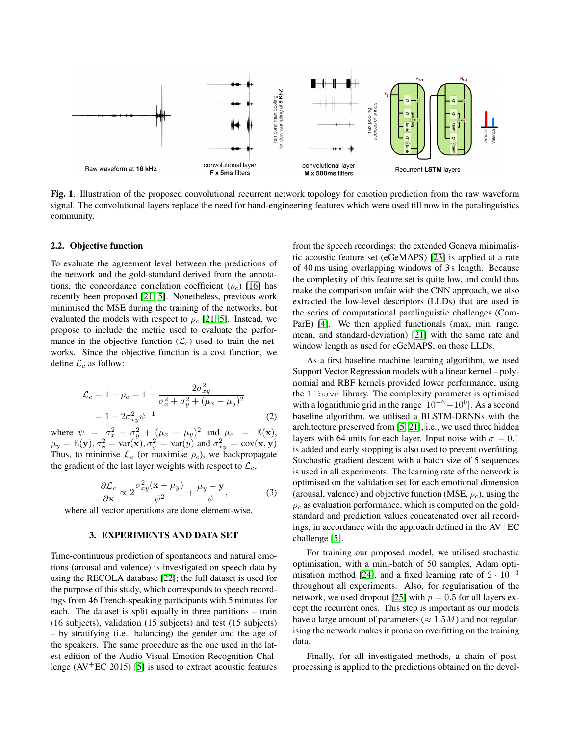

<span id="page-2-1"></span>Fig. 1. Illustration of the proposed convolutional recurrent network topology for emotion prediction from the raw waveform signal. The convolutional layers replace the need for hand-engineering features which were used till now in the paralinguistics community.

#### 2.2. Objective function

To evaluate the agreement level between the predictions of the network and the gold-standard derived from the annotations, the concordance correlation coefficient ( $\rho_c$ ) [\[16\]](#page-4-15) has recently been proposed [\[21,](#page-4-20) [5\]](#page-4-4). Nonetheless, previous work minimised the MSE during the training of the networks, but evaluated the models with respect to  $\rho_c$  [\[21,](#page-4-20) [5\]](#page-4-4). Instead, we propose to include the metric used to evaluate the performance in the objective function  $(\mathcal{L}_c)$  used to train the networks. Since the objective function is a cost function, we define  $\mathcal{L}_c$  as follow:

$$
\mathcal{L}_c = 1 - \rho_c = 1 - \frac{2\sigma_{xy}^2}{\sigma_x^2 + \sigma_y^2 + (\mu_x - \mu_y)^2}
$$

$$
= 1 - 2\sigma_{xy}^2 \psi^{-1}
$$
(2)

where  $\psi = \sigma_x^2 + \sigma_y^2 + (\mu_x - \mu_y)^2$  and  $\mu_x = \mathbb{E}(\mathbf{x}),$  $\mu_y = \mathbb{E}(\mathbf{y}), \sigma_x^2 = \text{var}(\mathbf{x}), \sigma_y^2 = \text{var}(y)$  and  $\sigma_{xy}^2 = \text{cov}(\mathbf{x}, \mathbf{y})$ Thus, to minimise  $\mathcal{L}_c$  (or maximise  $\rho_c$ ), we backpropagate the gradient of the last layer weights with respect to  $\mathcal{L}_{c}$ ,

$$
\frac{\partial \mathcal{L}_c}{\partial \mathbf{x}} \propto 2 \frac{\sigma_{xy}^2 (\mathbf{x} - \mu_y)}{\psi^2} + \frac{\mu_y - \mathbf{y}}{\psi},\tag{3}
$$

where all vector operations are done element-wise.

#### 3. EXPERIMENTS AND DATA SET

Time-continuous prediction of spontaneous and natural emotions (arousal and valence) is investigated on speech data by using the RECOLA database [\[22\]](#page-4-21); the full dataset is used for the purpose of this study, which corresponds to speech recordings from 46 French-speaking participants with 5 minutes for each. The dataset is split equally in three partitions – train (16 subjects), validation (15 subjects) and test (15 subjects) – by stratifying (i.e., balancing) the gender and the age of the speakers. The same procedure as the one used in the latest edition of the Audio-Visual Emotion Recognition Challenge  $(AV<sup>+</sup>EC 2015)$  [\[5\]](#page-4-4) is used to extract acoustic features

from the speech recordings: the extended Geneva minimalistic acoustic feature set (eGeMAPS) [\[23\]](#page-4-22) is applied at a rate of 40 ms using overlapping windows of 3 s length. Because the complexity of this feature set is quite low, and could thus make the comparison unfair with the CNN approach, we also extracted the low-level descriptors (LLDs) that are used in the series of computational paralinguistic challenges (Com-ParE) [\[4\]](#page-4-3). We then applied functionals (max, min, range, mean, and standard-deviation) [\[21\]](#page-4-20) with the same rate and window length as used for eGeMAPS, on those LLDs.

<span id="page-2-0"></span>As a first baseline machine learning algorithm, we used Support Vector Regression models with a linear kernel – polynomial and RBF kernels provided lower performance, using the libsvm library. The complexity parameter is optimised with a logarithmic grid in the range  $[10^{-6} - 10^{0}]$ . As a second baseline algorithm, we utilised a BLSTM-DRNNs with the architecture preserved from [\[5,](#page-4-4) [21\]](#page-4-20), i.e., we used three hidden layers with 64 units for each layer. Input noise with  $\sigma = 0.1$ is added and early stopping is also used to prevent overfitting. Stochastic gradient descent with a batch size of 5 sequences is used in all experiments. The learning rate of the network is optimised on the validation set for each emotional dimension (arousal, valence) and objective function (MSE,  $\rho_c$ ), using the  $\rho_c$  as evaluation performance, which is computed on the goldstandard and prediction values concatenated over all recordings, in accordance with the approach defined in the  $AV<sup>+</sup>EC$ challenge [\[5\]](#page-4-4).

For training our proposed model, we utilised stochastic optimisation, with a mini-batch of 50 samples, Adam opti-misation method [\[24\]](#page-4-23), and a fixed learning rate of  $2 \cdot 10^{-3}$ throughout all experiments. Also, for regularisation of the network, we used dropout [\[25\]](#page-4-24) with  $p = 0.5$  for all layers except the recurrent ones. This step is important as our models have a large amount of parameters ( $\approx 1.5M$ ) and not regularising the network makes it prone on overfitting on the training data.

Finally, for all investigated methods, a chain of postprocessing is applied to the predictions obtained on the devel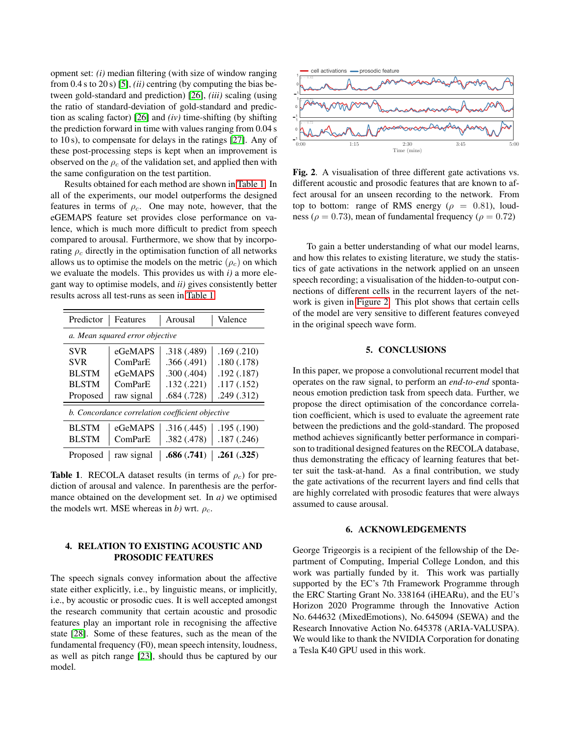opment set: *(i)* median filtering (with size of window ranging from  $0.4$  s to  $20$  s) [\[5\]](#page-4-4), *(ii)* centring (by computing the bias between gold-standard and prediction) [\[26\]](#page-4-25), *(iii)* scaling (using the ratio of standard-deviation of gold-standard and prediction as scaling factor) [\[26\]](#page-4-25) and *(iv)* time-shifting (by shifting the prediction forward in time with values ranging from 0.04 s to 10 s), to compensate for delays in the ratings [\[27\]](#page-4-26). Any of these post-processing steps is kept when an improvement is observed on the  $\rho_c$  of the validation set, and applied then with the same configuration on the test partition.

Results obtained for each method are shown in [Table 1.](#page-3-0) In all of the experiments, our model outperforms the designed features in terms of  $\rho_c$ . One may note, however, that the eGEMAPS feature set provides close performance on valence, which is much more difficult to predict from speech compared to arousal. Furthermore, we show that by incorporating  $\rho_c$  directly in the optimisation function of all networks allows us to optimise the models on the metric  $(\rho_c)$  on which we evaluate the models. This provides us with *i)* a more elegant way to optimise models, and *ii)* gives consistently better results across all test-runs as seen in [Table 1.](#page-3-0)

| Predictor                                                            | Features                                               | Arousal                                                            | Valence                                                            |
|----------------------------------------------------------------------|--------------------------------------------------------|--------------------------------------------------------------------|--------------------------------------------------------------------|
| a. Mean squared error objective                                      |                                                        |                                                                    |                                                                    |
| <b>SVR</b><br><b>SVR</b><br><b>BLSTM</b><br><b>BLSTM</b><br>Proposed | eGeMAPS<br>ComParE<br>eGeMAPS<br>ComParE<br>raw signal | .318(.489)<br>.366(.491)<br>.300(.404)<br>.132(.221)<br>.684(.728) | .169(.210)<br>.180(.178)<br>.192(.187)<br>.117(.152)<br>.249(.312) |
| b. Concordance correlation coefficient objective                     |                                                        |                                                                    |                                                                    |
| <b>BLSTM</b><br><b>BLSTM</b>                                         | eGeMAPS<br>ComParE                                     | .316(.445)<br>.382(.478)                                           | .195(.190)<br>.187(.246)                                           |
| Proposed                                                             | raw signal                                             | .686(.741)                                                         | .261(.325)                                                         |

<span id="page-3-0"></span>**Table 1.** RECOLA dataset results (in terms of  $\rho_c$ ) for prediction of arousal and valence. In parenthesis are the performance obtained on the development set. In *a)* we optimised the models wrt. MSE whereas in *b*) wrt.  $\rho_c$ .

# 4. RELATION TO EXISTING ACOUSTIC AND PROSODIC FEATURES

The speech signals convey information about the affective state either explicitly, i.e., by linguistic means, or implicitly, i.e., by acoustic or prosodic cues. It is well accepted amongst the research community that certain acoustic and prosodic features play an important role in recognising the affective state [\[28\]](#page-4-27). Some of these features, such as the mean of the fundamental frequency (F0), mean speech intensity, loudness, as well as pitch range [\[23\]](#page-4-22), should thus be captured by our model.



<span id="page-3-1"></span>Fig. 2. A visualisation of three different gate activations vs. different acoustic and prosodic features that are known to affect arousal for an unseen recording to the network. From top to bottom: range of RMS energy ( $\rho = 0.81$ ), loudness ( $\rho = 0.73$ ), mean of fundamental frequency ( $\rho = 0.72$ )

To gain a better understanding of what our model learns, and how this relates to existing literature, we study the statistics of gate activations in the network applied on an unseen speech recording; a visualisation of the hidden-to-output connections of different cells in the recurrent layers of the network is given in [Figure 2.](#page-3-1) This plot shows that certain cells of the model are very sensitive to different features conveyed in the original speech wave form.

#### 5. CONCLUSIONS

In this paper, we propose a convolutional recurrent model that operates on the raw signal, to perform an *end-to-end* spontaneous emotion prediction task from speech data. Further, we propose the direct optimisation of the concordance correlation coefficient, which is used to evaluate the agreement rate between the predictions and the gold-standard. The proposed method achieves significantly better performance in comparison to traditional designed features on the RECOLA database, thus demonstrating the efficacy of learning features that better suit the task-at-hand. As a final contribution, we study the gate activations of the recurrent layers and find cells that are highly correlated with prosodic features that were always assumed to cause arousal.

#### 6. ACKNOWLEDGEMENTS

George Trigeorgis is a recipient of the fellowship of the Department of Computing, Imperial College London, and this work was partially funded by it. This work was partially supported by the EC's 7th Framework Programme through the ERC Starting Grant No. 338164 (iHEARu), and the EU's Horizon 2020 Programme through the Innovative Action No. 644632 (MixedEmotions), No. 645094 (SEWA) and the Research Innovative Action No. 645378 (ARIA-VALUSPA). We would like to thank the NVIDIA Corporation for donating a Tesla K40 GPU used in this work.